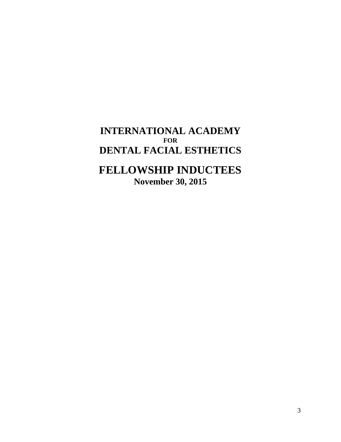**INTERNATIONAL ACADEMY FOR DENTAL FACIAL ESTHETICS**

## **FELLOWSHIP INDUCTEES November 30, 2015**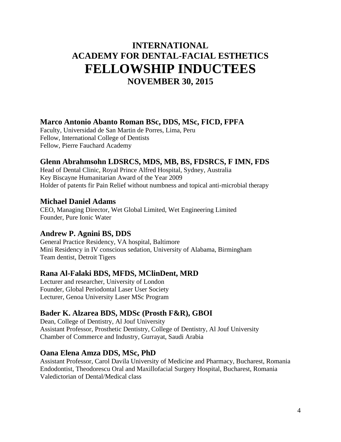### **INTERNATIONAL ACADEMY FOR DENTAL-FACIAL ESTHETICS FELLOWSHIP INDUCTEES NOVEMBER 30, 2015**

#### **Marco Antonio Abanto Roman BSc, DDS, MSc, FICD, FPFA**

Faculty, Universidad de San Martin de Porres, Lima, Peru Fellow, International College of Dentists Fellow, Pierre Fauchard Academy

#### **Glenn Abrahmsohn LDSRCS, MDS, MB, BS, FDSRCS, F IMN, FDS**

Head of Dental Clinic, Royal Prince Alfred Hospital, Sydney, Australia Key Biscayne Humanitarian Award of the Year 2009 Holder of patents fir Pain Relief without numbness and topical anti-microbial therapy

#### **Michael Daniel Adams**

CEO, Managing Director, Wet Global Limited, Wet Engineering Limited Founder, Pure Ionic Water

#### **Andrew P. Agnini BS, DDS**

General Practice Residency, VA hospital, Baltimore Mini Residency in IV conscious sedation, University of Alabama, Birmingham Team dentist, Detroit Tigers

#### **Rana Al-Falaki BDS, MFDS, MClinDent, MRD**

Lecturer and researcher, University of London Founder, Global Periodontal Laser User Society Lecturer, Genoa University Laser MSc Program

#### **Bader K. Alzarea BDS, MDSc (Prosth F&R), GBOI**

Dean, College of Dentistry, Al Jouf University Assistant Professor, Prosthetic Dentistry, College of Dentistry, Al Jouf University Chamber of Commerce and Industry, Gurrayat, Saudi Arabia

#### **Oana Elena Amza DDS, MSc, PhD**

Assistant Professor, Carol Davila University of Medicine and Pharmacy, Bucharest, Romania Endodontist, Theodorescu Oral and Maxillofacial Surgery Hospital, Bucharest, Romania Valedictorian of Dental/Medical class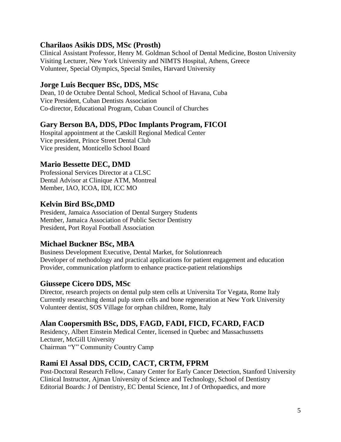#### **Charilaos Asikis DDS, MSc (Prosth)**

Clinical Assistant Professor, Henry M. Goldman School of Dental Medicine, Boston University Visiting Lecturer, New York University and NIMTS Hospital, Athens, Greece Volunteer, Special Olympics, Special Smiles, Harvard University

#### **Jorge Luis Becquer BSc, DDS, MSc**

Dean, 10 de Octubre Dental School, Medical School of Havana, Cuba Vice President, Cuban Dentists Association Co-director, Educational Program, Cuban Council of Churches

#### **Gary Berson BA, DDS, PDoc Implants Program, FICOI**

Hospital appointment at the Catskill Regional Medical Center Vice president, Prince Street Dental Club Vice president, Monticello School Board

#### **Mario Bessette DEC, DMD**

Professional Services Director at a CLSC Dental Advisor at Clinique ATM, Montreal Member, IAO, ICOA, IDI, ICC MO

#### **Kelvin Bird BSc,DMD**

President, Jamaica Association of Dental Surgery Students Member, Jamaica Association of Public Sector Dentistry President, Port Royal Football Association

#### **Michael Buckner BSc, MBA**

Business Development Executive, Dental Market, for Solutionreach Developer of methodology and practical applications for patient engagement and education Provider, communication platform to enhance practice-patient relationships

#### **Giussepe Cicero DDS, MSc**

Director, research projects on dental pulp stem cells at Universita Tor Vegata, Rome Italy Currently researching dental pulp stem cells and bone regeneration at New York University Volunteer dentist, SOS Village for orphan children, Rome, Italy

#### **Alan Coopersmith BSc, DDS, FAGD, FADI, FICD, FCARD, FACD**

Residency, Albert Einstein Medical Center, licensed in Quebec and Massachussetts Lecturer, McGill University Chairman "Y" Community Country Camp

#### **Rami El Assal DDS, CCID, CACT, CRTM, FPRM**

Post-Doctoral Research Fellow, Canary Center for Early Cancer Detection, Stanford University Clinical Instructor, Ajman University of Science and Technology, School of Dentistry Editorial Boards: J of Dentistry, EC Dental Science, Int J of Orthopaedics, and more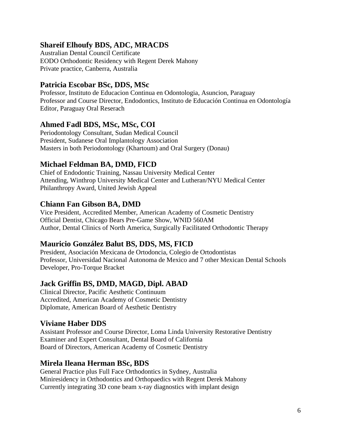#### **Shareif Elhoufy BDS, ADC, MRACDS**

Australian Dental Council Certificate EODO Orthodontic Residency with Regent Derek Mahony Private practice, Canberra, Australia

#### **Patricia Escobar BSc, DDS, MSc**

Professor, Instituto de Educacion Continua en Odontologia, Asuncion, Paraguay Professor and Course Director, Endodontics, Instituto de Educación Continua en Odontología Editor, Paraguay Oral Reserach

#### **Ahmed Fadl BDS, MSc, MSc, COI**

Periodontology Consultant, Sudan Medical Council President, Sudanese Oral Implantology Association Masters in both Periodontology (Khartoum) and Oral Surgery (Donau)

#### **Michael Feldman BA, DMD, FICD**

Chief of Endodontic Training, Nassau University Medical Center Attending, Winthrop University Medical Center and Lutheran/NYU Medical Center Philanthropy Award, United Jewish Appeal

#### **Chiann Fan Gibson BA, DMD**

Vice President, Accredited Member, American Academy of Cosmetic Dentistry Official Dentist, Chicago Bears Pre-Game Show, WNID 560AM Author, Dental Clinics of North America, Surgically Facilitated Orthodontic Therapy

#### **Mauricio González Balut BS, DDS, MS, FICD**

President, Asociación Mexicana de Ortodoncia, Colegio de Ortodontistas Professor, Universidad Nacional Autonoma de Mexico and 7 other Mexican Dental Schools Developer, Pro-Torque Bracket

#### **Jack Griffin BS, DMD, MAGD, Dipl. ABAD**

Clinical Director, Pacific Aesthetic Continuum Accredited, American Academy of Cosmetic Dentistry Diplomate, American Board of Aesthetic Dentistry

#### **Viviane Haber DDS**

Assistant Professor and Course Director, Loma Linda University Restorative Dentistry Examiner and Expert Consultant, Dental Board of California Board of Directors, American Academy of Cosmetic Dentistry

#### **Mirela Ileana Herman BSc, BDS**

General Practice plus Full Face Orthodontics in Sydney, Australia Miniresidency in Orthodontics and Orthopaedics with Regent Derek Mahony Currently integrating 3D cone beam x-ray diagnostics with implant design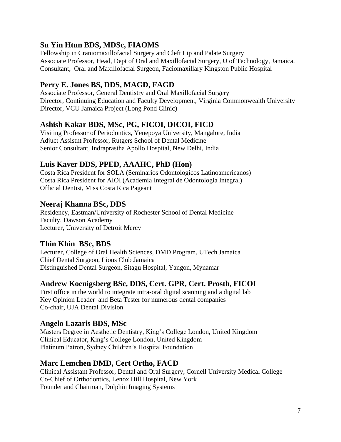#### **Su Yin Htun BDS, MDSc, FIAOMS**

Fellowship in Craniomaxillofacial Surgery and Cleft Lip and Palate Surgery Associate Professor, Head, Dept of Oral and Maxillofacial Surgery, U of Technology, Jamaica. Consultant, Oral and Maxillofacial Surgeon, Faciomaxillary Kingston Public Hospital

#### **Perry E. Jones BS, DDS, MAGD, FAGD**

Associate Professor, General Dentistry and Oral Maxillofacial Surgery Director, Continuing Education and Faculty Development, Virginia Commonwealth University Director, VCU Jamaica Project (Long Pond Clinic)

#### **Ashish Kakar BDS, MSc, PG, FICOI, DICOI, FICD**

Visiting Professor of Periodontics, Yenepoya University, Mangalore, India Adjuct Assistnt Professor, Rutgers School of Dental Medicine Senior Consultant, Indraprastha Apollo Hospital, New Delhi, India

#### **Luis Kaver DDS, PPED, AAAHC, PhD (Hon)**

Costa Rica President for SOLA (Seminarios Odontologicos Latinoamericanos) Costa Rica President for AIOI (Academia Integral de Odontologia Integral) Official Dentist, Miss Costa Rica Pageant

#### **Neeraj Khanna BSc, DDS**

Residency, Eastman/University of Rochester School of Dental Medicine Faculty, Dawson Academy Lecturer, University of Detroit Mercy

#### **Thin Khin BSc, BDS**

Lecturer, College of Oral Health Sciences, DMD Program, UTech Jamaica Chief Dental Surgeon, Lions Club Jamaica Distinguished Dental Surgeon, Sitagu Hospital, Yangon, Mynamar

#### **Andrew Koenigsberg BSc, DDS, Cert. GPR, Cert. Prosth, FICOI**

First office in the world to integrate intra-oral digital scanning and a digital lab Key Opinion Leader and Beta Tester for numerous dental companies Co-chair, UJA Dental Division

#### **Angelo Lazaris BDS, MSc**

Masters Degree in Aesthetic Dentistry, King's College London, United Kingdom Clinical Educator, King's College London, United Kingdom Platinum Patron, Sydney Children's Hospital Foundation

#### **Marc Lemchen DMD, Cert Ortho, FACD**

Clinical Assistant Professor, Dental and Oral Surgery, Cornell University Medical College Co-Chief of Orthodontics, Lenox Hill Hospital, New York Founder and Chairman, Dolphin Imaging Systems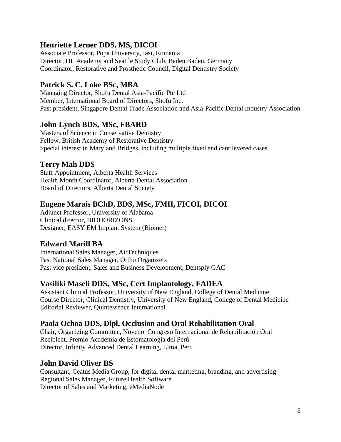#### **Henriette Lerner DDS, MS, DICOI**

Associate Professor, Popa University, Iasi, Romania Director, HL Academy and Seattle Study Club, Baden Baden, Germany Coordinator, Restorative and Prosthetic Council, Digital Dentistry Society

#### **Patrick S. C. Loke BSc, MBA**

Managing Director, Shofu Dental Asia-Pacific Pte Ltd Member, International Board of Directors, Shofu Inc. Past president, Singapore Dental Trade Association and Asia-Pacific Dental Industry Association

#### **John Lynch BDS, MSc, FBARD**

Masters of Science in Conservative Dentistry Fellow, British Academy of Restorative Dentistry Special interest in Maryland Bridges, including multiple fixed and cantilevered cases

#### **Terry Mah DDS**

Staff Appointment, Alberta Health Services Health Month Coordinator, Alberta Dental Association Board of Directors, Alberta Dental Society

#### **Eugene Marais BChD, BDS, MSc, FMII, FICOI, DICOI**

Adjunct Professor, University of Alabama Clinical director, BIOHORIZONS Designer, EASY EM Implant System (Biomer)

#### **Edward Marill BA**

International Sales Manager, AirTechniques Past National Sales Manager, Ortho Organizers Past vice president, Sales and Business Development, Dentsply GAC

#### **Vasiliki Maseli DDS, MSc, Cert Implantology, FADEA**

Assistant Clinical Professor, University of New England, College of Dental Medicine Course Director, Clinical Dentistry, University of New England, College of Dental Medicine Editorial Reviewer, Quintessence International

#### **Paola Ochoa DDS, Dipl. Occlusion and Oral Rehabilitation Oral**

Chair, Organizing Committee, Noveno Congreso Internacional de Rehabilitación Oral Recipient, Premio Academia de Estomatología del Perú Director, Infinity Advanced Dental Learning, Lima, Peru

#### **John David Oliver BS**

Consultant, Ceatus Media Group, for digital dental marketing, branding, and advertising Regional Sales Manager, Future Health Software Director of Sales and Marketing, eMediaNode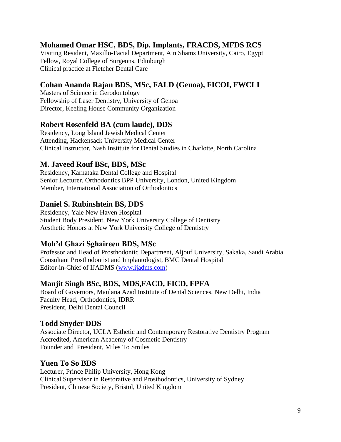#### **Mohamed Omar HSC, BDS, Dip. Implants, FRACDS, MFDS RCS**

Visiting Resident, Maxillo-Facial Department, Ain Shams University, Cairo, Egypt Fellow, Royal College of Surgeons, Edinburgh Clinical practice at Fletcher Dental Care

#### **Cohan Ananda Rajan BDS, MSc, FALD (Genoa), FICOI, FWCLI**

Masters of Science in Gerodontology Fellowship of Laser Dentistry, University of Genoa Director, Keeling House Community Organization

#### **Robert Rosenfeld BA (cum laude), DDS**

Residency, Long Island Jewish Medical Center Attending, Hackensack University Medical Center Clinical Instructor, Nash Institute for Dental Studies in Charlotte, North Carolina

#### **M. Javeed Rouf BSc, BDS, MSc**

Residency, Karnataka Dental College and Hospital Senior Lecturer, Orthodontics BPP University, London, United Kingdom Member, International Association of Orthodontics

#### **Daniel S. Rubinshtein BS, DDS**

Residency, Yale New Haven Hospital Student Body President, New York University College of Dentistry Aesthetic Honors at New York University College of Dentistry

#### **Moh'd Ghazi Sghaireen BDS, MSc**

Professor and Head of Prosthodontic Department, Aljouf University, Sakaka, Saudi Arabia Consultant Prosthodontist and Implantologist, BMC Dental Hospital Editor-in-Chief of IJADMS [\(www.ijadms.com\)](http://www.ijadms.com/)

#### **Manjit Singh BSc, BDS, MDS,FACD, FICD, FPFA**

Board of Governors, Maulana Azad Institute of Dental Sciences, New Delhi, India Faculty Head, Orthodontics, IDRR President, Delhi Dental Council

#### **Todd Snyder DDS**

Associate Director, UCLA Esthetic and Contemporary Restorative Dentistry Program Accredited, American Academy of Cosmetic Dentistry Founder and President, Miles To Smiles

#### **Yuen To So BDS**

Lecturer, Prince Philip University, Hong Kong Clinical Supervisor in Restorative and Prosthodontics, University of Sydney President, Chinese Society, Bristol, United Kingdom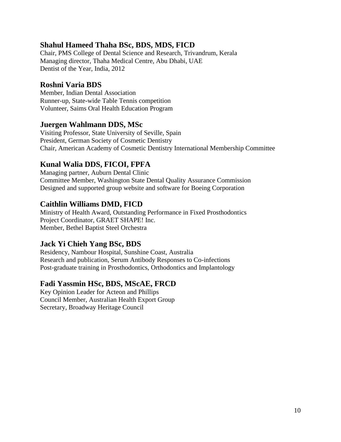#### **Shahul Hameed Thaha BSc, BDS, MDS, FICD**

Chair, PMS College of Dental Science and Research, Trivandrum, Kerala Managing director, Thaha Medical Centre, Abu Dhabi, UAE Dentist of the Year, India, 2012

#### **Roshni Varia BDS**

Member, Indian Dental Association Runner-up, State-wide Table Tennis competition Volunteer, Saims Oral Health Education Program

#### **Juergen Wahlmann DDS, MSc**

Visiting Professor, State University of Seville, Spain President, German Society of Cosmetic Dentistry Chair, American Academy of Cosmetic Dentistry International Membership Committee

#### **Kunal Walia DDS, FICOI, FPFA**

Managing partner, Auburn Dental Clinic Committee Member, Washington State Dental Quality Assurance Commission Designed and supported group website and software for Boeing Corporation

#### **Caithlin Williams DMD, FICD**

Ministry of Health Award, Outstanding Performance in Fixed Prosthodontics Project Coordinator, GRAET SHAPE! Inc. Member, Bethel Baptist Steel Orchestra

#### **Jack Yi Chieh Yang BSc, BDS**

Residency, Nambour Hospital, Sunshine Coast, Australia Research and publication, Serum Antibody Responses to Co-infections Post-graduate training in Prosthodontics, Orthodontics and Implantology

#### **Fadi Yassmin HSc, BDS, MScAE, FRCD**

Key Opinion Leader for Acteon and Phillips Council Member, Australian Health Export Group Secretary, Broadway Heritage Council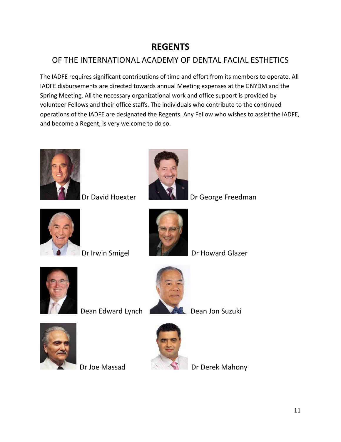## **REGENTS**

### OF THE INTERNATIONAL ACADEMY OF DENTAL FACIAL ESTHETICS

The IADFE requires significant contributions of time and effort from its members to operate. All IADFE disbursements are directed towards annual Meeting expenses at the GNYDM and the Spring Meeting. All the necessary organizational work and office support is provided by volunteer Fellows and their office staffs. The individuals who contribute to the continued operations of the IADFE are designated the Regents. Any Fellow who wishes to assist the IADFE, and become a Regent, is very welcome to do so.





Dr David Hoexter **Dr William** Dr George Freedman





Dr Irwin Smigel **Dr Howard Glazer** 





Dean Edward Lynch Dean Jon Suzuki





Dr Joe Massad Dr Derek Mahony

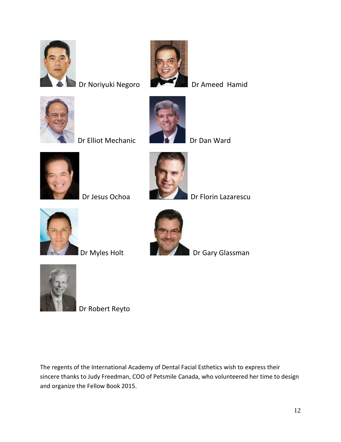

Dr Noriyuki Negoro Dr Ameed Hamid



Dr Elliot Mechanic Dr Dan Ward







Dr Jesus Ochoa Dr Florin Lazarescu





Dr Myles Holt **Dr Gary Glassman** 



Dr Robert Reyto

The regents of the International Academy of Dental Facial Esthetics wish to express their sincere thanks to Judy Freedman, COO of Petsmile Canada, who volunteered her time to design and organize the Fellow Book 2015.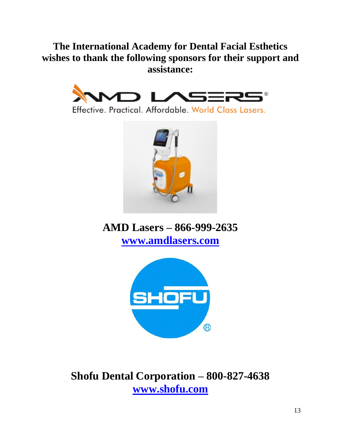## **The International Academy for Dental Facial Esthetics wishes to thank the following sponsors for their support and assistance:**



Effective, Practical, Affordable, World Class Lasers.



**AMD Lasers – 866-999-2635 www.amdlasers.com**



**Shofu Dental Corporation – 800-827-4638 [www.shofu.com](http://www.shofu.com/)**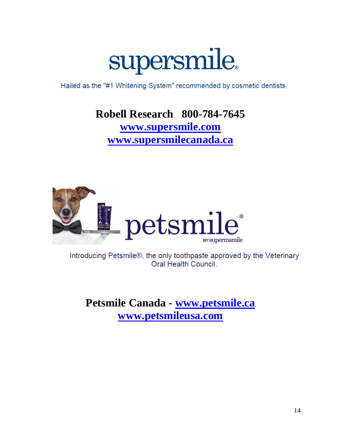

Hailed as the "#1 Whitening System" recommended by cosmetic dentists.

# **Robell Research 800-784-7645 [www.supersmile.com](http://www.supersmile.com/) www.supersmilecanada.ca**



Introducing Petsmile®, the only toothpaste approved by the Veterinary Oral Health Council.

**Petsmile Canada - [www.petsmile.ca](http://www.petsmile.ca/) [www.petsmileusa.com](http://www.petsmileusa.com/)**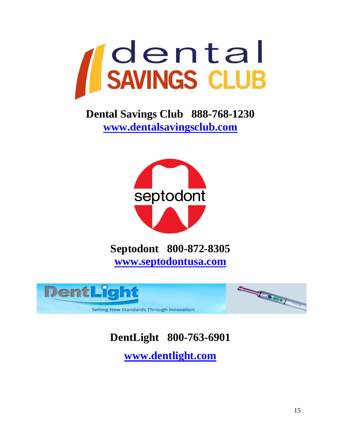

**Dental Savings Club 888-768-1230 [www.dentalsavingsclub.com](http://www.dentalsavingsclub.com/)**



**Septodont 800-872-8305 [www.septodontusa.com](http://www.septodontusa.com/)**



# **DentLight 800-763-6901**

**[www.dentlight.com](http://www.dentlight.com/)**